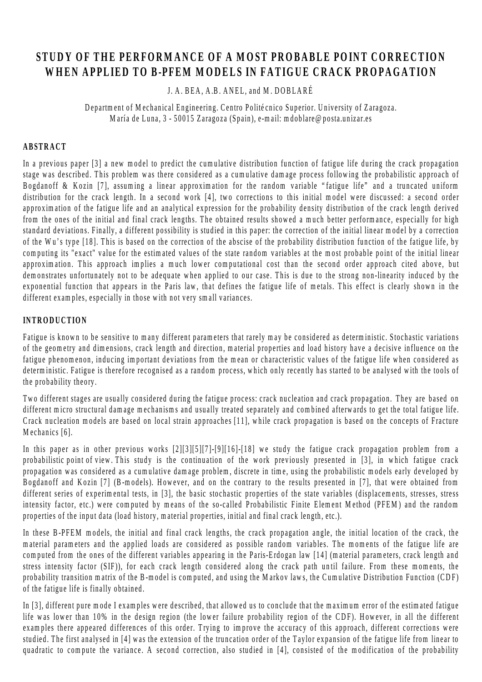# **STUDY OF THE PERFORMANCE OF A MOST PROBA BLE POINT CORRECTION W HEN APPLIED TO B-PFEM M ODELS IN FATIGUE CRACK PROPAGATION**

J. A. BEA, A.B. ANEL, and M. DOBLARÉ

D epartm ent of M echanical Engineering. C entro Polité cnico Superior. U niversity of Zaragoza. M aría de Luna, 3 - 50015 Zaragoza (Spain), e-m a il: m doblare@ posta.unizar.es

## **ABSTRACT**

In a previous paper [3] a new model to predict the cumulative distribution function of fatigue life during the crack propagation stage w as described. This problem w as there considered as a cum ulative dam age process follow ing the probabilistic approach of Bogdanoff & Kozin [7], assuming a linear approximation for the random variable "fatigue life" and a truncated uniform distribution for the crack length. In a second work [4], two corrections to this initial model were discussed: a second order approxim ation of the fatigue life and an analytical expression for the probability density distribution of the crack length derived from the ones of the initial and final crack lengths. The obtained results showed a much better performance, especially for high standard deviations. Finally, a different possibility is studied in this paper: the correction of the initial linear m odel by a correction of the W u's type [18]. This is based on the correction of the abscise of the probability distribution function of the fatigue life, by com puting its "exact" value for the estim ated values of the state random variables at the m ost probable point of the in itial linear approximation. This approach implies a much lower computational cost than the second order approach cited above, but dem onstrates unfortunately not to be adequate when applied to our case. This is due to the strong non-linearity induced by the exponential function that appears in the Paris law, that defines the fatigue life of metals. This effect is clearly shown in the different examples, especially in those with not very small variances.

# **INTRODUCTION**

Fatigue is known to be sensitive to m any different param eters that rarely m ay be considered as determ inistic. Stochastic variations of the geometry and dimensions, crack length and direction, material properties and load history have a decisive influence on the fatigue phenomenon, inducing important deviations from the mean or characteristic values of the fatigue life when considered as determ inistic. Fatigue is therefore recognised as a random process, w hich only recently has started to be analysed with the tools of the probability theory.

Two different stages are usually considered during the fatigue process: crack nucleation and crack propagation. They are based on different m icro structural dam age m echanism s and usually treated separately and com bined afterw ards to get the total fatigue life. Crack nucleation m odels are based on local strain approaches [11], w hile crack propagation is based on the concepts of Fracture M echanics [6].

In this paper as in other previous works [2][3][5][7]-[9][16]-[18] we study the fatigue crack propagation problem from a probabilistic point of view. This study is the continuation of the work previously presented in  $\left[3\right]$ , in which fatigue crack propagation was considered as a cumulative damage problem, discrete in time, using the probabilistic models early developed by Bogdanoff and Kozin [7] (B-models). However, and on the contrary to the results presented in [7], that were obtained from different series of experimental tests, in [3], the basic stochastic properties of the state variables (displacements, stresses, stress intensity factor, etc.) w ere com puted by m eans of the so-called Probabilistic Finite Elem ent M ethod (PFEM ) and the random properties of the input data (load history, m aterial properties, in itial and final crack length, etc.).

In these B-PFEM models, the initial and final crack lengths, the crack propagation angle, the initial location of the crack, the material parameters and the applied loads are considered as possible random variables. The moments of the fatigue life are computed from the ones of the different variables appearing in the Paris-Erdogan law [14] (material parameters, crack length and stress intensity factor (SIF)), for each crack length considered along the crack path until failure. From these moments, the probability transition matrix of the B-model is computed, and using the Markov laws, the Cumulative Distribution Function (CDF) of the fatigue life is finally obtained.

In [3], different pure m ode I exam ples w ere described, that allow ed us to conclude that the m axim um error of the estim ated fatigue life was lower than 10% in the design region (the lower failure probability region of the CDF). However, in all the different examples there appeared differences of this order. Trying to improve the accuracy of this approach, different corrections were studied. The first analysed in [4] w as the extension of the truncation order of the Taylor expansion of the fatigue life from linear to quadratic to compute the variance. A second correction, also studied in [4], consisted of the modification of the probability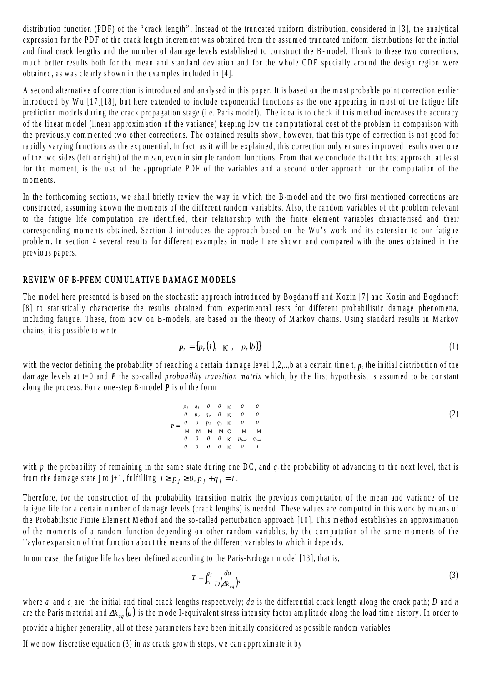distribution function (PDF) of the "crack length". Instead of the truncated uniform distribution, considered in [3], the analytical expression for the PDF of the crack length increm ent was obtained from the assum ed truncated uniform distributions for the initial and final crack lengths and the number of damage levels established to construct the B-model. Thank to these two corrections, much better results both for the mean and standard deviation and for the whole CDF specially around the design region were obtained, as w as clearly show n in the exam ples included in [4].

A second alternative of correction is introduced and analysed in this paper. It is based on the m ost probable point correction earlier introduced by Wu [17][18], but here extended to include exponential functions as the one appearing in most of the fatigue life prediction models during the crack propagation stage (i.e. Paris model). The idea is to check if this method increases the accuracy of the linear m odel (linear approxim ation of the variance) keeping low the com putational cost of the problem in com parison with the previously commented two other corrections. The obtained results show, however, that this type of correction is not good for rapidly varying functions as the exponential. In fact, as it w ill be explained, this correction only ensures im proved results over one of the two sides (left or right) of the mean, even in simple random functions. From that we conclude that the best approach, at least for the moment, is the use of the appropriate PDF of the variables and a second order approach for the computation of the m om ents.

In the forthcoming sections, we shall briefly review the way in which the B-model and the two first mentioned corrections are constructed, assum ing know n the m om ents of the different random variables. A lso, the random variables of the problem relevant to the fatigue life com putation are identified, their relationship w ith the finite elem ent variables characterised and their corresponding moments obtained. Section 3 introduces the approach based on the Wu's work and its extension to our fatigue problem. In section 4 several results for different examples in mode I are shown and compared with the ones obtained in the previous papers.

## **REVIEW OF B-PFEM CUM ULATIVE DAM AGE M ODELS**

The m odel here presented is based on the stochastic approach introduced by Bogdanoff and Kozin [7] and Kozin and Bogdanoff [8] to statistically characterise the results obtained from experim ental tests for different probabilistic dam age phenom ena, including fatigue. These, from now on B -m odels, are based on the theory of M arkov chains. U sing standard results in M arkov chains, it is possible to w rite

$$
\boldsymbol{p}_t = \{p_t(t), \mathbf{K}, \mathbf{p}_t(b)\} \tag{1}
$$

with the vector defining the probability of reaching a certain dam age level 1,2,..,b at a certain time t,  $p_{\theta}$  the initial distribution of the dam age levels at t=0 and *P* the so-called *probability transition matrix* which, by the first hypothesis, is assumed to be constant along the process. For a one-step B -m odel *P* is of the form

> J I  $\begin{bmatrix} \vdots \\ \vdots \\ \vdots \\ \vdots \end{bmatrix}$ L = *0 0 0* **0 K** *P*<sub>*b*−1</sub> *q*<sub>*b*−1</sub> *q*<sub>*b*−1</sub> *0 0 0 0 p q 0 0 p q 0 0 0 p q 0 0 0 p q 0 0 0 0 b 1 b 1 3 3 2 2 1 1* Κ Κ Μ Μ Μ Μ Ο Μ Μ Κ Κ Κ *P* (2)

with  $p_j$  the probability of remaining in the same state during one DC, and  $q_j$  the probability of advancing to the next level, that is from the damage state j to j+1, fulfilling  $I \ge p_j \ge 0$ ,  $p_j + q_j = I$ .

Therefore, for the construction of the probability transition matrix the previous computation of the mean and variance of the fatigue life for a certain number of damage levels (crack lengths) is needed. These values are computed in this work by means of the Probabilistic Finite Elem ent M ethod and the so-called perturbation approach [10]. This m ethod establishes an approxim ation of the moments of a random function depending on other random variables, by the computation of the same moments of the Taylor expansion of that function about the m eans of the different variables to which it depends.

In our case, the fatigue life has been defined according to the Paris-Erdogan m odel [13], that is,

$$
T = \int_{a_1}^{a_f} \frac{da}{D(\Delta k_{eq})^n} \tag{3}
$$

where  $a_i$  and  $a_j$  are the initial and final crack lengths respectively; *da* is the differential crack length along the crack path; *D* and *n* are the Paris material and ∆*k<sub>eq</sub>* (*a*) is the mode I-equivalent stress intensity factor amplitude along the load time history. In order to

provide a higher generality, all of these parameters have been initially considered as possible random variables

If we now discretise equation (3) in *ns* crack growth steps, we can approximate it by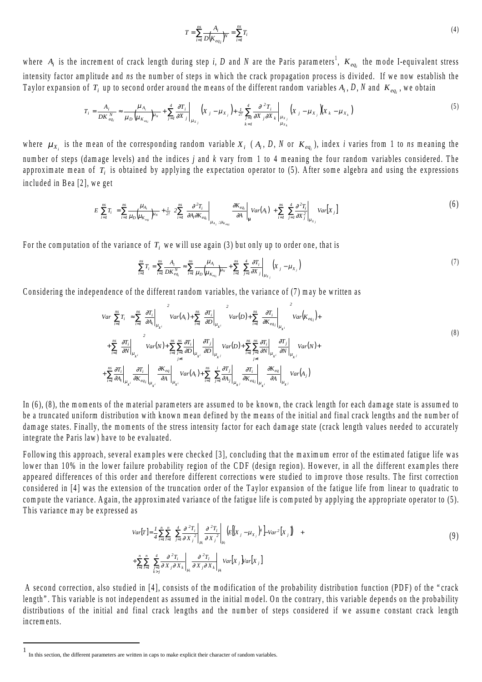$$
T = \sum_{i=1}^{ns} \frac{A_i}{D(K_{eq_i})^N} = \sum_{i=1}^{ns} T_i
$$
\n(4)

where  $A_i$  is the increment of crack length during step *i*, *D* and *N* are the Paris parameters<sup>1</sup>,  $K_{eq_i}$  the mode I-equivalent stress intensity factor am plitude and *ns* the number of steps in which the crack propagation process is divided. If we now establish the Taylor expansion of  $T_i$  up to second order around the means of the different random variables  $A_i$ ,  $D$ ,  $N$  and  $K_{eq_i}$ , we obtain

$$
T_{i} = \frac{A_{i}}{DK_{eq_{i}}} \approx \frac{\mu_{A_{i}}}{\mu_{D}(\mu_{K_{eq_{i}}})^{\mu_{N}}} + \sum_{j=1}^{4} \frac{\partial T_{i}}{\partial X_{j}}\bigg|_{\mu_{X_{j}}} \left(X_{j} - \mu_{X_{j}}\right) + \frac{1}{2!} \sum_{j=1}^{4} \frac{\partial^{2} T_{i}}{\partial X_{j} \partial X_{k}}\bigg|_{\mu_{X_{j}}} \left(X_{j} - \mu_{X_{j}}\right)\left(X_{k} - \mu_{X_{k}}\right) \tag{5}
$$

where  $\mu_{X_i}$  is the mean of the corresponding random variable  $X_i$  ( $A_i$ ,  $D$ ,  $N$  or  $K_{eq_i}$ ), index *i* varies from 1 to *ns* meaning the num ber of steps (dam age levels) and the indices *j* and *k* vary from 1 to 4 m eaning the four random variables considered. The approximate mean of  $T_i$  is obtained by applying the expectation operator to  $(5)$ . After some algebra and using the expressions included in Bea [2], we get

$$
E\left[\sum_{i=1}^{ns}T_{i}\right] = \sum_{i=1}^{ns} \frac{\mu_{A_{i}}}{\mu_{D}\left(\mu_{K_{eq_{i}}}\right)^{\mu_{N}}} + \frac{1}{2!}\left(2\sum_{i=1}^{ns}\left|\frac{\partial^{2}T_{i}}{\partial A_{i}\partial K_{eq_{i}}}\right|_{\mu_{A_{i}}\cdot\mu_{K_{eq_{i}}}}\frac{\partial K_{eq_{i}}}{\partial A}\right|_{\mu}Var(A_{i}) + \sum_{i=1}^{ns}\sum_{j=1}^{4}\frac{\partial^{2}T_{i}}{\partial X_{j}^{2}}\bigg|_{\mu_{X_{j}}}Var[X_{j}]\right)
$$
(6)

For the computation of the variance of  $T_i$ , we will use again (3) but only up to order one, that is

$$
\sum_{i=1}^{ns} T_i = \sum_{i=1}^{ns} \frac{A_i}{DK_{eq_i}^N} \approx \sum_{i=1}^{ns} \frac{\mu_{A_i}}{\mu_D (\mu_{K_{eq_i}})} \mu_{x} + \sum_{i=1}^{ns} \sum_{j=1}^4 \frac{\partial T_i}{\partial X_j} \bigg|_{\mu_{X_j}} (X_j - \mu_{X_j}) \tag{7}
$$

C onsidering the independence of the different random variables, the variance of (7) m ay be w ritten as

$$
Var\left(\sum_{i=1}^{ns} T_i\right) \approx \sum_{i=1}^{ns} \left(\frac{\partial T_i}{\partial A_i}\Big|_{\mu_{X^i}}\right)^2 Var(A_i) + \sum_{i=1}^{ns} \left(\frac{\partial T_i}{\partial D}\Big|_{\mu_{X^i}}\right)^2 Var(D) + \sum_{i=1}^{ns} \left(\frac{\partial T_i}{\partial K_{eq_i}}\Big|_{\mu_{X^i}}\right)^2 Var(K_{eq_i}) + \sum_{i=1}^{ns} \left(\frac{\partial T_i}{\partial N}\Big|_{\mu_{X^i}}\right)^2 Var(N) + \sum_{i=1}^{ns} \sum_{j=1}^{ns} \frac{\partial T_i}{\partial D}\Big|_{\mu_{X^i}} \frac{\partial T_j}{\partial D}\Big|_{\mu_{X^j}} Var(D) + \sum_{i=1}^{ns} \sum_{j=1}^{ns} \frac{\partial T_i}{\partial N}\Big|_{\mu_{X^i}} \frac{\partial T_j}{\partial N}\Big|_{\mu_{X^i}} Var(D) + \sum_{i=1}^{ns} \sum_{j=1}^{ns} \frac{\partial T_i}{\partial N}\Big|_{\mu_{X^j}} Var(N) + \sum_{i=1}^{ns} \frac{\partial T_i}{\partial A_i}\Big|_{\mu_{X^i}} \frac{\partial T_i}{\partial K_{eq_i}}\Big|_{\mu_{X^i}} Var(A_i) + \sum_{i=1}^{ns} \sum_{j=1}^{i} \frac{\partial T_j}{\partial A_j}\Big|_{\mu_{X^j}} \frac{\partial T_i}{\partial K_{eq_i}}\Big|_{\mu_{X^i}} Var(A_j)
$$
\n(8)

In (6), (8), the moments of the material parameters are assumed to be known, the crack length for each damage state is assumed to be a truncated uniform distribution with known mean defined by the means of the initial and final crack lengths and the number of dam age states. Finally, the moments of the stress intensity factor for each damage state (crack length values needed to accurately integrate the Paris law) have to be evaluated.

Following this approach, several examples were checked [3], concluding that the maximum error of the estimated fatigue life was lower than 10% in the lower failure probability region of the CDF (design region). However, in all the different examples there appeared differences of this order and therefore different corrections were studied to improve those results. The first correction considered in [4] was the extension of the truncation order of the Taylor expansion of the fatigue life from linear to quadratic to com pute the variance. A gain, the approxim ated variance of the fatigue life is com puted by applying the appropriate operator to (5). This variance m ay be expressed as

$$
Var[T] = \frac{1}{4} \sum_{i=1}^{n} \sum_{l=1}^{n} \left( \sum_{j=1}^{4} \frac{\partial^{2} T_{i}}{\partial X_{j}^{2}} \bigg|_{\mu_{i}} \frac{\partial^{2} T_{l}}{\partial X_{j}^{2}} \bigg|_{\mu_{i}} \left( E\left[ (X_{j} - \mu_{X_{j}})^{4} \right] - Var^{2} \left[ (X_{j}) \right] \right) \right) + \sum_{i=1}^{n} \sum_{l=1}^{n} \left( \sum_{j=1}^{4} \frac{\partial^{2} T_{l}}{\partial X_{j} \partial X_{k}} \bigg|_{\mu_{i}} \frac{\partial^{2} T_{l}}{\partial X_{j} \partial X_{k}} \bigg|_{\mu_{i}} Var\left[ (X_{j}) \right] \right)
$$
\n(9)

A second correction, also studied in [4], consists of the modification of the probability distribution function (PDF) of the "crack length". This variable is not independent as assumed in the initial model. On the contrary, this variable depends on the probability distributions of the initial and final crack lengths and the number of steps considered if we assume constant crack length increm ents.

 $\overline{a}$ 

<sup>1</sup> In this section, the different parameters are written in caps to make explicit their character of random variables.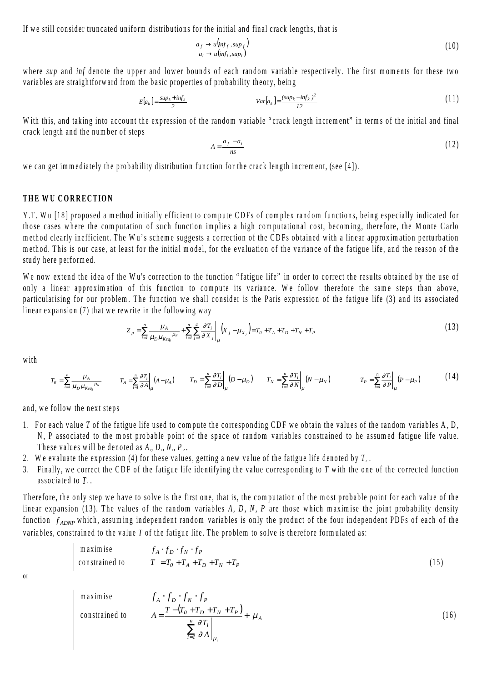If we still consider truncated uniform distributions for the initial and final crack lengths, that is

$$
\begin{cases}\na_f \to u(\inf_f, \sup_f) \\
a_i \to u(\inf_i, \sup_i)\n\end{cases} \tag{10}
$$

where *sup* and *inf* denote the upper and lower bounds of each random variable respectively. The first moments for these two variables are straightforw ard from the basic properties of probability theory, being

$$
E[a_k] = \frac{sup_k + inf_k}{2}
$$
\n
$$
Var[a_k] = \frac{(sup_k - inf_k)^2}{12}
$$
\n(11)

With this, and taking into account the expression of the random variable "crack length increment" in terms of the initial and final crack length and the num ber of steps

$$
A = \frac{a_f - a_i}{ns} \tag{12}
$$

we can get immediately the probability distribution function for the crack length increment, (see [4]).

#### **THE WU CORRECTION**

Y.T. Wu [18] proposed a method initially efficient to compute CDFs of complex random functions, being especially indicated for those cases w here the com putation of such function im plies a high com putational cost, becom ing, therefore, the M onte C arlo m ethod clearly inefficient. The W u's schem e suggests a correction of the C D Fs obtained w ith a linear approxim ation perturbation m ethod. This is our case, at least for the in itial m odel, for the evaluation of the variance of the fatigue life, and the reason of the study here perform ed.

W e now extend the idea of the W u's correction to the function " fatigue life" in order to correct the results obtained by the use of only a linear approximation of this function to compute its variance. We follow therefore the same steps than above, particularising for our problem. The function we shall consider is the Paris expression of the fatigue life (3) and its associated linear expansion (7) that we rewrite in the following way

$$
Z_{p} = \sum_{i=1}^{n} \frac{\mu_{A}}{\mu_{D} \mu_{Keq_{i}}} + \sum_{i=1}^{n} \sum_{j=1}^{4} \frac{\partial T_{i}}{\partial X_{j}} \bigg|_{\mu} (X_{j} - \mu_{X_{j}}) = T_{0} + T_{A} + T_{D} + T_{N} + T_{P}
$$
\n(13)

with

$$
T_0 = \sum_{i=1}^n \frac{\mu_A}{\mu_D \mu_{Keq_i}} \qquad T_A = \sum_{i=1}^n \frac{\partial T_i}{\partial A}\n\Big|_{\mu} (A - \mu_A) \qquad T_D = \sum_{i=1}^n \frac{\partial T_i}{\partial D}\n\Big|_{\mu} (D - \mu_D) \qquad T_N = \sum_{i=1}^n \frac{\partial T_i}{\partial N}\n\Big|_{\mu} (N - \mu_N) \qquad T_P = \sum_{i=1}^n \frac{\partial T_i}{\partial P}\n\Big|_{\mu} (P - \mu_P) \qquad (14)
$$

and, we follow the next steps

- 1. For each value T of the fatigue life used to compute the corresponding CDF we obtain the values of the random variables A, D, N, P associated to the most probable point of the space of random variables constrained to he assumed fatigue life value. These values will be denoted as  $A_1, D_2, N_3, P_4$ ...
- 2 . W e evaluate the expression (4) for these values, getting a new value of the fatigue life denoted by *T <sup>c</sup>* .
- 3. Finally, we correct the CDF of the fatigue life identifying the value corresponding to T with the one of the corrected function associated to  $T_c$ .

Therefore, the only step we have to solve is the first one, that is, the computation of the most probable point for each value of the linear expansion (13). The values of the random variables A, D, N, P are those which maximise the joint probability density function  $f_{ADNP}$  which, assuming independent random variables is only the product of the four independent PDFs of each of the variables, constrained to the value *T* of the fatigue life. The problem to solve is therefore form ulated as:

maximise 
$$
f_A \cdot f_D \cdot f_N \cdot f_P
$$
  
constrained to  $T = T_0 + T_A + T_D + T_N + T_P$  (15)

o r

maximise  
\n
$$
f_A \cdot f_D \cdot f_N \cdot f_P
$$
\nconstrained to  
\n
$$
A = \frac{T - (T_0 + T_D + T_N + T_P)}{\sum_{i=1}^{n} \frac{\partial T_i}{\partial A} \Big|_{\mu_i}}
$$
\n(16)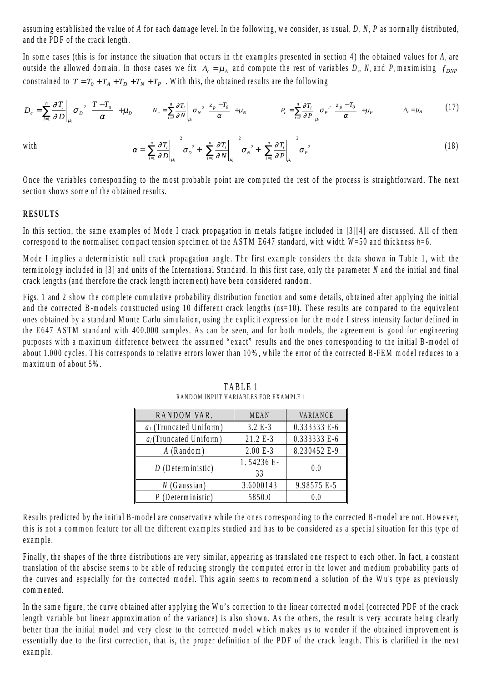assuming established the value of *A* for each damage level. In the following, we consider, as usual, *D*, *N*, *P* as normally distributed, and the PDF of the crack length.

In some cases (this is for instance the situation that occurs in the examples presented in section 4) the obtained values for *A* are outside the allowed domain. In those cases we fix  $A_c = \mu_A$  and compute the rest of variables  $D_c$ ,  $N_c$  and  $P_c$  maximising  $f_{DNP}$ constrained to  $T = T_0 + T_A + T_D + T_N + T_P$ . With this, the obtained results are the following

$$
D_c = \sum_{i=1}^n \frac{\partial T_i}{\partial D} \bigg|_{\mu_i} \sigma_D^2 \left( \frac{T - T_0}{\alpha} \right) + \mu_D \qquad N_c = \sum_{i=1}^n \frac{\partial T_i}{\partial N} \bigg|_{\mu_i} \sigma_N^2 \left( \frac{z_p - T_0}{\alpha} \right) + \mu_N \qquad P_c = \sum_{i=1}^n \frac{\partial T_i}{\partial P} \bigg|_{\mu_i} \sigma_P^2 \left( \frac{z_p - T_0}{\alpha} \right) + \mu_P \qquad A_c = \mu_A \qquad (17)
$$

with 
$$
\alpha = \left(\sum_{i=1}^{n} \frac{\partial T_i}{\partial D}\bigg|_{\mu_i}\right)^2 \sigma_D^{-2} + \left(\sum_{i=1}^{n} \frac{\partial T_i}{\partial N}\bigg|_{\mu_i}\right)^2 \sigma_N^{-2} + \left(\sum_{i=1}^{n} \frac{\partial T_i}{\partial P}\bigg|_{\mu_i}\right)^2 \sigma_P^{-2}
$$
(18)

Once the variables corresponding to the most probable point are computed the rest of the process is straightforward. The next section shows som e of the obtained results.

#### **RESULTS**

In this section, the same examples of Mode I crack propagation in metals fatigue included in [3][4] are discussed. All of them correspond to the norm alised com pact tension specim en of the A STM E647 standard, w ith w idth *W* =50 and thickness *h*=6.

Mode I implies a deterministic null crack propagation angle. The first example considers the data shown in Table 1, with the term inology included in [3] and units of the International Standard. In this first case, only the param eter *N* and the initial and final crack lengths (and therefore the crack length increm ent) have been considered random .

Figs. 1 and 2 show the complete cumulative probability distribution function and some details, obtained after applying the initial and the corrected B -m odels constructed using 10 different crack lengths (ns=10). These results are com pared to the equivalent ones obtained by a standard M onte Carlo simulation, using the explicit expression for the mode I stress intensity factor defined in the E647 ASTM standard with 400.000 samples. As can be seen, and for both models, the agreement is good for engineering purposes with a maximum difference between the assumed "exact" results and the ones corresponding to the initial B-model of about 1.000 cycles. This corresponds to relative errors low er than 10% , w hile the error of the corrected B -FEM m odel reduces to a m axim um of about 5% .

| RANDOM VAR.               | MEAN             | VARIANCE     |
|---------------------------|------------------|--------------|
| $a_1$ (Truncated Uniform) | $3.2 E-3$        | 0.333333 E-6 |
| $a_f$ (Truncated Uniform) | 21.2 E-3         | 0.333333 E-6 |
| $A$ (Random)              | $2.00 E-3$       | 8.230452 E-9 |
| $D$ (Deterministic)       | 1.54236 E-<br>33 | 0.0          |
| $N$ (Gaussian)            | 3.6000143        | 9.98575 E-5  |
| $P$ (Deterministic)       | 5850.0           | (1)          |

TABLE 1 RANDOM INPUT VARIABLES FOR EXAM PLE 1

Results predicted by the initial B-model are conservative while the ones corresponding to the corrected B-model are not. However, this is not a common feature for all the different examples studied and has to be considered as a special situation for this type of exam ple.

Finally, the shapes of the three distributions are very sim ilar, appearing as translated one respect to each other. In fact, a constant translation of the abscise seems to be able of reducing strongly the computed error in the lower and medium probability parts of the curves and especially for the corrected model. This again seems to recommend a solution of the Wu's type as previously com m ented.

In the same figure, the curve obtained after applying the Wu's correction to the linear corrected model (corrected PDF of the crack length variable but linear approximation of the variance) is also shown. As the others, the result is very accurate being clearly better than the initial model and very close to the corrected model which makes us to wonder if the obtained improvement is essentially due to the first correction, that is, the proper definition of the PDF of the crack length. This is clarified in the next exam ple.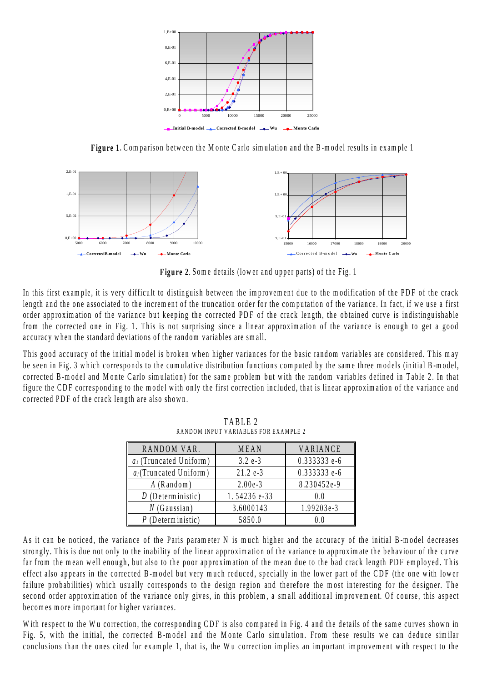

**Figure 1 .** Com parison between the M onte Carlo sim ulation and the B-m odel results in exam ple 1



**Figure 2 .** Some details (low er and upper parts) of the Fig. 1

In this first example, it is very difficult to distinguish between the improvement due to the modification of the PDF of the crack length and the one associated to the increment of the truncation order for the computation of the variance. In fact, if we use a first order approximation of the variance but keeping the corrected PDF of the crack length, the obtained curve is indistinguishable from the corrected one in Fig. 1. This is not surprising since a linear approxim ation of the variance is enough to get a good accuracy when the standard deviations of the random variables are small.

This good accuracy of the initial model is broken when higher variances for the basic random variables are considered. This may be seen in Fig. 3 which corresponds to the cumulative distribution functions computed by the same three models (initial B-model, corrected B-model and Monte Carlo simulation) for the same problem but with the random variables defined in Table 2. In that figure the CDF corresponding to the model with only the first correction included, that is linear approximation of the variance and corrected PDF of the crack length are also shown.

| RANDOM VAR.               | MEAN         | VARIANCE     |
|---------------------------|--------------|--------------|
| $a_i$ (Truncated Uniform) | $3.2 e-3$    | 0.333333 e-6 |
| $a_f$ (Truncated Uniform) | $21.2 e-3$   | 0.333333 e-6 |
| $A$ (Random)              | $2.00e-3$    | 8.230452e-9  |
| $D$ (Deterministic)       | 1.54236 e-33 | 0.0          |
| $N$ (Gaussian)            | 3.6000143    | 1.99203e-3   |
| $P$ (Deterministic)       | 5850.0       |              |

TABLE 2 RANDOM INPUT VARIABLES FOR EXAM PLE 2

As it can be noticed, the variance of the Paris parameter N is much higher and the accuracy of the initial B-model decreases strongly. This is due not only to the inability of the linear approxim ation of the variance to approxim ate the behaviour of the curve far from the mean well enough, but also to the poor approximation of the mean due to the bad crack length PDF employed. This effect also appears in the corrected B-model but very much reduced, specially in the lower part of the CDF (the one with lower failure probabilities) which usually corresponds to the design region and therefore the most interesting for the designer. The second order approximation of the variance only gives, in this problem, a small additional improvement. Of course, this aspect becom es m ore im portant for higher variances.

With respect to the Wu correction, the corresponding CDF is also compared in Fig. 4 and the details of the same curves shown in Fig. 5, with the initial, the corrected B-model and the Monte Carlo simulation. From these results we can deduce similar conclusions than the ones cited for exam ple 1, that is, the W u correction im plies an im portant im provem ent w ith respect to the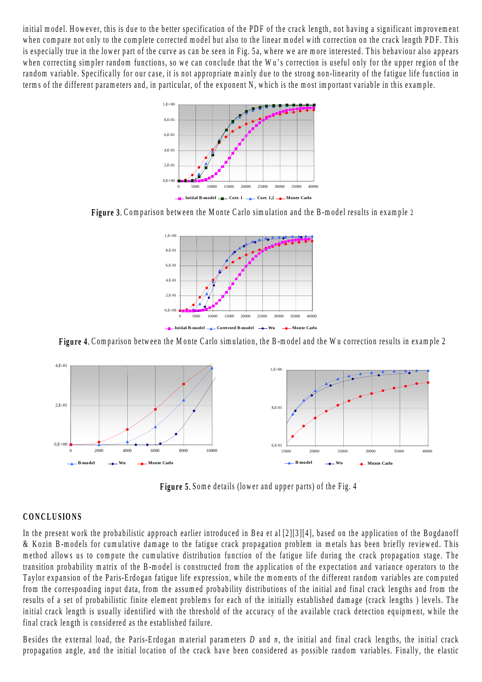initial model. However, this is due to the better specification of the PDF of the crack length, not having a significant improvement when compare not only to the complete corrected model but also to the linear model with correction on the crack length PDF. This is especially true in the lower part of the curve as can be seen in Fig. 5a, where we are more interested. This behaviour also appears when correcting simpler random functions, so we can conclude that the Wu's correction is useful only for the upper region of the random variable. Specifically for our case, it is not appropriate mainly due to the strong non-linearity of the fatigue life function in term s of the different param eters and, in particular, of the exponent N , w hich is the m ost im portant variable in this exam ple.



**Figure 3 .** Com parison between the M onte Carlo sim ulation and the B-m odel results in exam ple 2



**Figure 4.** Comparison between the M onte Carlo simulation, the B-model and the Wu correction results in example 2



**Figure 5 .** Som e details (low er and upper parts) of the Fig. 4

# **CONCLUSIONS**

In the present work the probabilistic approach earlier introduced in Bea et al [2][3][4], based on the application of the B ogdanoff & K ozin B -m odels for cum ulative dam age to the fatigue crack propagation problem in m etals has been briefly review ed. This m ethod allow s us to com pute the cum ulative distribution function of the fatigue life during the crack propagation stage. The transition probability matrix of the B-model is constructed from the application of the expectation and variance operators to the Taylor expansion of the Paris-Erdogan fatigue life expression, while the moments of the different random variables are computed from the corresponding input data, from the assumed probability distributions of the initial and final crack lengths and from the results of a set of probabilistic finite elem ent problem s for each of the in itially established dam age (crack lengths ) levels. The initial crack length is usually identified with the threshold of the accuracy of the available crack detection equipm ent, w hile the final crack length is considered as the established failure.

Besides the external load, the Paris-Erdogan material parameters *D* and *n*, the initial and final crack lengths, the initial crack propagation angle, and the initial location of the crack have been considered as possible random variables. Finally, the elastic